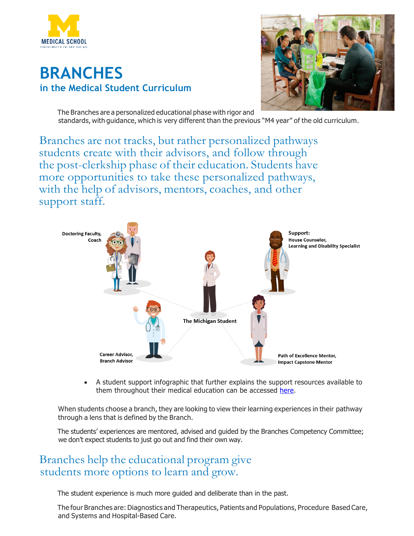

## **BRANCHES in the Medical Student Curriculum**



The Branches are a personalized educational phase with rigor and standards, with guidance, which is very different than the previous "M4 year" of the old curriculum.

Branches are not tracks, but rather personalized pathways students create with their advisors, and follow through the post-clerkship phase of their education. Students have more opportunities to take these personalized pathways, with the help of advisors, mentors, coaches, and other support staff.



• A student support infographic that further explains the support resources available to them throughout their medical education can be accessed here.

When students choose a branch, they are looking to view their learning experiences in their pathway through a lens that is defined by the Branch.

The students' experiences are mentored, advised and guided by the Branches Competency Committee; we don't expect students to just go out and find their own way.

## Branches help the educational program give students more options to learn and grow.

The student experience is much more guided and deliberate than in the past.

The four Branches are:Diagnostics and Therapeutics, Patients and Populations, Procedure Based Care, and Systems and Hospital-Based Care.